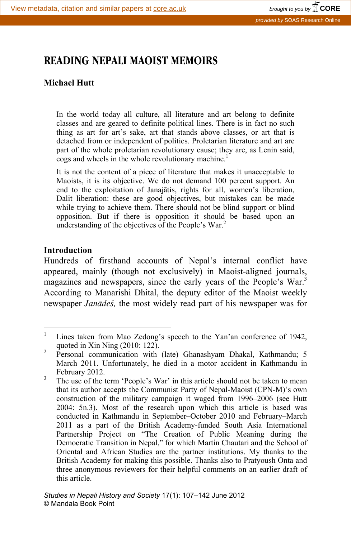# **READING NEPALI MAOIST MEMOIRS**

# **Michael Hutt**

In the world today all culture, all literature and art belong to definite classes and are geared to definite political lines. There is in fact no such thing as art for art's sake, art that stands above classes, or art that is detached from or independent of politics. Proletarian literature and art are part of the whole proletarian revolutionary cause; they are, as Lenin said, cogs and wheels in the whole revolutionary machine.<sup>1</sup>

It is not the content of a piece of literature that makes it unacceptable to Maoists, it is its objective. We do not demand 100 percent support. An end to the exploitation of Janajàtis, rights for all, women's liberation, Dalit liberation: these are good objectives, but mistakes can be made while trying to achieve them. There should not be blind support or blind opposition. But if there is opposition it should be based upon an understanding of the objectives of the People's War.<sup>2</sup>

## **Introduction**

Hundreds of firsthand accounts of Nepal's internal conflict have appeared, mainly (though not exclusively) in Maoist-aligned journals, magazines and newspapers, since the early years of the People's War.<sup>3</sup> According to Manarishi Dhital, the deputy editor of the Maoist weekly newspaper *Janādes*<sup>*,*</sup>, the most widely read part of his newspaper was for

 $\frac{1}{1}$  Lines taken from Mao Zedong's speech to the Yan'an conference of 1942, quoted in Xin Ning  $(2010: 122)$ .

Personal communication with (late) Ghanashyam Dhakal, Kathmandu; 5 March 2011. Unfortunately, he died in a motor accident in Kathmandu in February 2012.

The use of the term 'People's War' in this article should not be taken to mean that its author accepts the Communist Party of Nepal-Maoist (CPN-M)'s own construction of the military campaign it waged from 1996–2006 (see Hutt 2004: 5n.3). Most of the research upon which this article is based was conducted in Kathmandu in September–October 2010 and February–March 2011 as a part of the British Academy-funded South Asia International Partnership Project on "The Creation of Public Meaning during the Democratic Transition in Nepal," for which Martin Chautari and the School of Oriental and African Studies are the partner institutions. My thanks to the British Academy for making this possible. Thanks also to Pratyoush Onta and three anonymous reviewers for their helpful comments on an earlier draft of this article.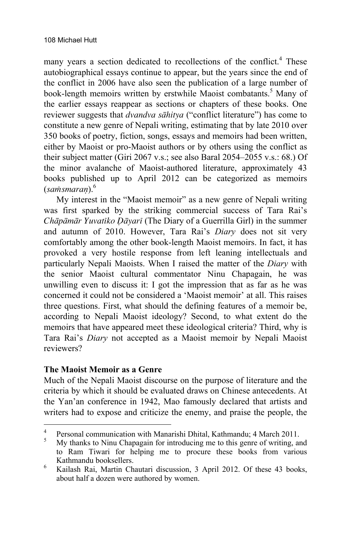many years a section dedicated to recollections of the conflict.<sup>4</sup> These autobiographical essays continue to appear, but the years since the end of the conflict in 2006 have also seen the publication of a large number of book-length memoirs written by erstwhile Maoist combatants.<sup>5</sup> Many of the earlier essays reappear as sections or chapters of these books. One reviewer suggests that *dvandva sàhitya* ("conflict literature") has come to constitute a new genre of Nepali writing, estimating that by late 2010 over 350 books of poetry, fiction, songs, essays and memoirs had been written, either by Maoist or pro-Maoist authors or by others using the conflict as their subject matter (Giri 2067 v.s.; see also Baral 2054–2055 v.s.: 68.) Of the minor avalanche of Maoist-authored literature, approximately 43 books published up to April 2012 can be categorized as memoirs (*samsmaran*).<sup>6</sup>

My interest in the "Maoist memoir" as a new genre of Nepali writing was first sparked by the striking commercial success of Tara Rai's *Chāpāmār Yuvatīko Dāyarī* (The Diary of a Guerrilla Girl) in the summer and autumn of 2010. However, Tara Rai's *Diary* does not sit very comfortably among the other book-length Maoist memoirs. In fact, it has provoked a very hostile response from left leaning intellectuals and particularly Nepali Maoists. When I raised the matter of the *Diary* with the senior Maoist cultural commentator Ninu Chapagain, he was unwilling even to discuss it: I got the impression that as far as he was concerned it could not be considered a 'Maoist memoir' at all. This raises three questions. First, what should the defining features of a memoir be, according to Nepali Maoist ideology? Second, to what extent do the memoirs that have appeared meet these ideological criteria? Third, why is Tara Rai's *Diary* not accepted as a Maoist memoir by Nepali Maoist reviewers?

# **The Maoist Memoir as a Genre**

Much of the Nepali Maoist discourse on the purpose of literature and the criteria by which it should be evaluated draws on Chinese antecedents. At the Yan'an conference in 1942, Mao famously declared that artists and writers had to expose and criticize the enemy, and praise the people, the

 $\frac{1}{4}$ <sup>4</sup> Personal communication with Manarishi Dhital, Kathmandu; 4 March 2011.

My thanks to Ninu Chapagain for introducing me to this genre of writing, and to Ram Tiwari for helping me to procure these books from various Kathmandu booksellers.<br><sup>6</sup> Koilash Bai, Martin Ch

Kailash Rai, Martin Chautari discussion, 3 April 2012. Of these 43 books, about half a dozen were authored by women.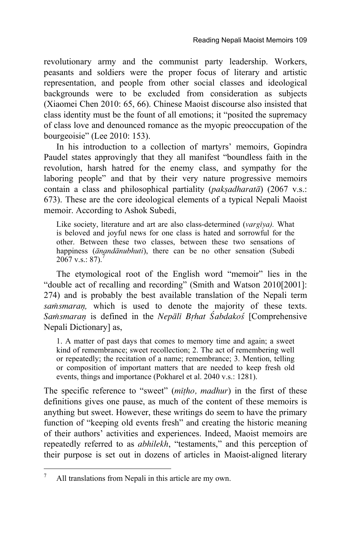revolutionary army and the communist party leadership. Workers, peasants and soldiers were the proper focus of literary and artistic representation, and people from other social classes and ideological backgrounds were to be excluded from consideration as subjects (Xiaomei Chen 2010: 65, 66). Chinese Maoist discourse also insisted that class identity must be the fount of all emotions; it "posited the supremacy of class love and denounced romance as the myopic preoccupation of the bourgeoisie" (Lee 2010: 153).

In his introduction to a collection of martyrs' memoirs, Gopindra Paudel states approvingly that they all manifest "boundless faith in the revolution, harsh hatred for the enemy class, and sympathy for the laboring people" and that by their very nature progressive memoirs contain a class and philosophical partiality (*paksadharata*) (2067 v.s.: 673). These are the core ideological elements of a typical Nepali Maoist memoir. According to Ashok Subedi,

Like society, literature and art are also class-determined (*vargīya*). What is beloved and joyful news for one class is hated and sorrowful for the other. Between these two classes, between these two sensations of happiness (*ànandànubhuti*), there can be no other sensation (Subedi  $2067$  v.s.: 87).

The etymological root of the English word "memoir" lies in the "double act of recalling and recording" (Smith and Watson 2010[2001]: 274) and is probably the best available translation of the Nepali term *samsmaran*, which is used to denote the majority of these texts. *Samsmaran* is defined in the *Nepālī Brhat Śabdakoś* [Comprehensive Nepali Dictionary] as,

1. A matter of past days that comes to memory time and again; a sweet kind of remembrance; sweet recollection; 2. The act of remembering well or repeatedly; the recitation of a name; remembrance; 3. Mention, telling or composition of important matters that are needed to keep fresh old events, things and importance (Pokharel et al. 2040 v.s.: 1281).

The specific reference to "sweet" (*mãñho, madhur*) in the first of these definitions gives one pause, as much of the content of these memoirs is anything but sweet. However, these writings do seem to have the primary function of "keeping old events fresh" and creating the historic meaning of their authors' activities and experiences. Indeed, Maoist memoirs are repeatedly referred to as *abhilekh*, "testaments," and this perception of their purpose is set out in dozens of articles in Maoist-aligned literary

<sup>-&</sup>lt;br>7 All translations from Nepali in this article are my own.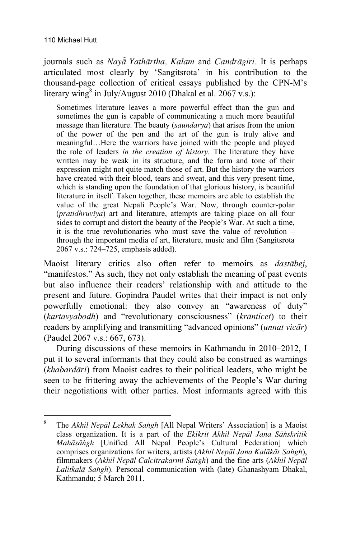journals such as *Nayƒ Yathàrtha, Kalam* and *Candràgiri.* It is perhaps articulated most clearly by 'Sangitsrota' in his contribution to the thousand-page collection of critical essays published by the CPN-M's literary wing<sup>8</sup> in July/August 2010 (Dhakal et al. 2067 v.s.):

Sometimes literature leaves a more powerful effect than the gun and sometimes the gun is capable of communicating a much more beautiful message than literature. The beauty (*saundarya*) that arises from the union of the power of the pen and the art of the gun is truly alive and meaningful…Here the warriors have joined with the people and played the role of leaders *in the creation of history*. The literature they have written may be weak in its structure, and the form and tone of their expression might not quite match those of art. But the history the warriors have created with their blood, tears and sweat, and this very present time, which is standing upon the foundation of that glorious history, is beautiful literature in itself. Taken together, these memoirs are able to establish the value of the great Nepali People's War. Now, through counter-polar (*pratidhruvãya*) art and literature, attempts are taking place on all four sides to corrupt and distort the beauty of the People's War. At such a time, it is the true revolutionaries who must save the value of revolution – through the important media of art, literature, music and film (Sangitsrota 2067 v.s.: 724–725, emphasis added).

Maoist literary critics also often refer to memoirs as *dastàbej*, "manifestos." As such, they not only establish the meaning of past events but also influence their readers' relationship with and attitude to the present and future. Gopindra Paudel writes that their impact is not only powerfully emotional: they also convey an "awareness of duty" (*kartavyabodh*) and "revolutionary consciousness" (*krànticet*) to their readers by amplifying and transmitting "advanced opinions" (*unnat vicàr*) (Paudel 2067 v.s.: 667, 673).

During discussions of these memoirs in Kathmandu in 2010–2012, I put it to several informants that they could also be construed as warnings (*khabardàrã*) from Maoist cadres to their political leaders, who might be seen to be frittering away the achievements of the People's War during their negotiations with other parties. Most informants agreed with this

 $\frac{1}{8}$  The *Akhil Nepàl Lekhak Saïgh* [All Nepal Writers' Association] is a Maoist class organization. It is a part of the *Ekãkrit Akhil Nepàl Jana Sàïskritik Mahàsàïgh* [Unified All Nepal People's Cultural Federation] which comprises organizations for writers, artists (*Akhil Nepàl Jana Kalàkàr Saïgh*), filmmakers (*Akhil Nepàl Calcitrakarmã Saïgh*) and the fine arts (*Akhil Nepàl Lalitkalà Saïgh*). Personal communication with (late) Ghanashyam Dhakal, Kathmandu; 5 March 2011.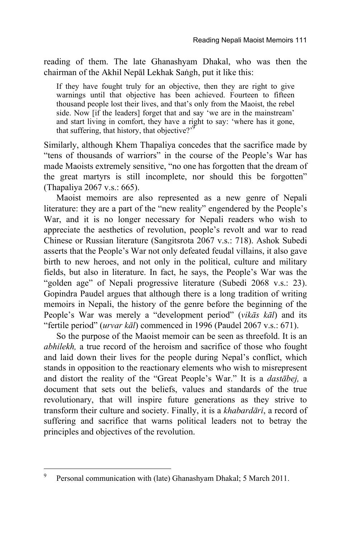reading of them. The late Ghanashyam Dhakal, who was then the chairman of the Akhil Nepāl Lekhak Sangh, put it like this:

If they have fought truly for an objective, then they are right to give warnings until that objective has been achieved. Fourteen to fifteen thousand people lost their lives, and that's only from the Maoist, the rebel side. Now [if the leaders] forget that and say 'we are in the mainstream' and start living in comfort, they have a right to say: 'where has it gone, that suffering, that history, that objective?<sup>9</sup>

Similarly, although Khem Thapaliya concedes that the sacrifice made by "tens of thousands of warriors" in the course of the People's War has made Maoists extremely sensitive, "no one has forgotten that the dream of the great martyrs is still incomplete, nor should this be forgotten" (Thapaliya 2067 v.s.: 665).

Maoist memoirs are also represented as a new genre of Nepali literature: they are a part of the "new reality" engendered by the People's War, and it is no longer necessary for Nepali readers who wish to appreciate the aesthetics of revolution, people's revolt and war to read Chinese or Russian literature (Sangitsrota 2067 v.s.: 718). Ashok Subedi asserts that the People's War not only defeated feudal villains, it also gave birth to new heroes, and not only in the political, culture and military fields, but also in literature. In fact, he says, the People's War was the "golden age" of Nepali progressive literature (Subedi 2068 v.s.: 23). Gopindra Paudel argues that although there is a long tradition of writing memoirs in Nepali, the history of the genre before the beginning of the People's War was merely a "development period" (*vikàs kàl*) and its "fertile period" (*urvar kàl*) commenced in 1996 (Paudel 2067 v.s.: 671).

So the purpose of the Maoist memoir can be seen as threefold. It is an *abhilekh,* a true record of the heroism and sacrifice of those who fought and laid down their lives for the people during Nepal's conflict, which stands in opposition to the reactionary elements who wish to misrepresent and distort the reality of the "Great People's War." It is a *dastàbej,* a document that sets out the beliefs, values and standards of the true revolutionary, that will inspire future generations as they strive to transform their culture and society. Finally, it is a *khabardàrã*, a record of suffering and sacrifice that warns political leaders not to betray the principles and objectives of the revolution.

<sup>-&</sup>lt;br>9 Personal communication with (late) Ghanashyam Dhakal; 5 March 2011.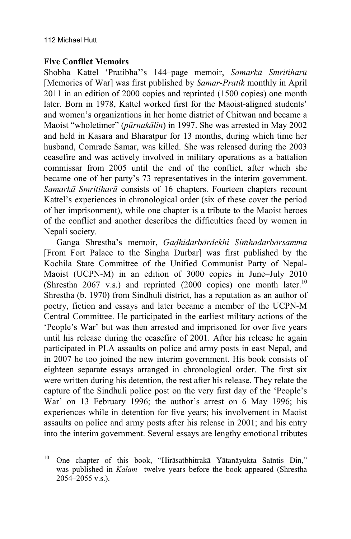## **Five Conflict Memoirs**

Shobha Kattel 'Pratibha''s 144–page memoir, *Samarkà Smritiharå* [Memories of War] was first published by *Samar-Pratik* monthly in April 2011 in an edition of 2000 copies and reprinted (1500 copies) one month later. Born in 1978, Kattel worked first for the Maoist-aligned students' and women's organizations in her home district of Chitwan and became a Maoist "wholetimer" (*pårnakàlãn*) in 1997. She was arrested in May 2002 and held in Kasara and Bharatpur for 13 months, during which time her husband, Comrade Samar, was killed. She was released during the 2003 ceasefire and was actively involved in military operations as a battalion commissar from 2005 until the end of the conflict, after which she became one of her party's 73 representatives in the interim government. *Samarkà Smritiharå* consists of 16 chapters. Fourteen chapters recount Kattel's experiences in chronological order (six of these cover the period of her imprisonment), while one chapter is a tribute to the Maoist heroes of the conflict and another describes the difficulties faced by women in Nepali society.

Ganga Shrestha's memoir, *Gadhidarbārdekhi Simhadarbārsamma* [From Fort Palace to the Singha Durbar] was first published by the Kochila State Committee of the Unified Communist Party of Nepal-Maoist (UCPN-M) in an edition of 3000 copies in June–July 2010 (Shrestha 2067 v.s.) and reprinted (2000 copies) one month later.<sup>10</sup> Shrestha (b. 1970) from Sindhuli district, has a reputation as an author of poetry, fiction and essays and later became a member of the UCPN-M Central Committee. He participated in the earliest military actions of the 'People's War' but was then arrested and imprisoned for over five years until his release during the ceasefire of 2001. After his release he again participated in PLA assaults on police and army posts in east Nepal, and in 2007 he too joined the new interim government. His book consists of eighteen separate essays arranged in chronological order. The first six were written during his detention, the rest after his release. They relate the capture of the Sindhuli police post on the very first day of the 'People's War' on 13 February 1996; the author's arrest on 6 May 1996; his experiences while in detention for five years; his involvement in Maoist assaults on police and army posts after his release in 2001; and his entry into the interim government. Several essays are lengthy emotional tributes

 $10<sup>10</sup>$ One chapter of this book, "Hirāsatbhitrakā Yātanāyukta Saintis Din," was published in *Kalam* twelve years before the book appeared (Shrestha 2054–2055 v.s.).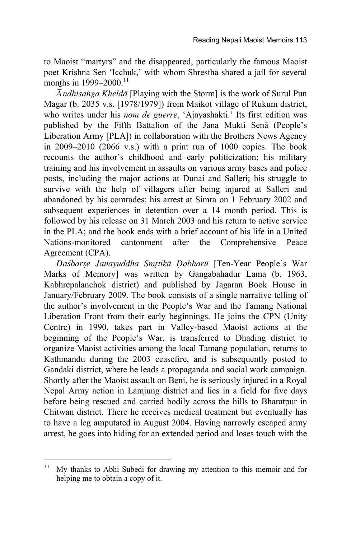to Maoist "martyrs" and the disappeared, particularly the famous Maoist poet Krishna Sen 'Icchuk,' with whom Shrestha shared a jail for several months in  $1999-2000$ .<sup>11</sup>

*â ˜ ndhãsaïga Kheldà* [Playing with the Storm] is the work of Surul Pun Magar (b. 2035 v.s. [1978/1979]) from Maikot village of Rukum district, who writes under his *nom de guerre*, 'Ajayashakti.' Its first edition was published by the Fifth Battalion of the Jana Mukti Senà (People's Liberation Army [PLA]) in collaboration with the Brothers News Agency in 2009–2010 (2066 v.s.) with a print run of 1000 copies. The book recounts the author's childhood and early politicization; his military training and his involvement in assaults on various army bases and police posts, including the major actions at Dunai and Salleri; his struggle to survive with the help of villagers after being injured at Salleri and abandoned by his comrades; his arrest at Simra on 1 February 2002 and subsequent experiences in detention over a 14 month period. This is followed by his release on 31 March 2003 and his return to active service in the PLA; and the book ends with a brief account of his life in a United Nations-monitored cantonment after the Comprehensive Peace Agreement (CPA).

*Da÷barùe Janayuddha Smçtikà ôobharå* [Ten-Year People's War Marks of Memory] was written by Gangabahadur Lama (b. 1963, Kabhrepalanchok district) and published by Jagaran Book House in January/February 2009. The book consists of a single narrative telling of the author's involvement in the People's War and the Tamang National Liberation Front from their early beginnings. He joins the CPN (Unity Centre) in 1990, takes part in Valley-based Maoist actions at the beginning of the People's War, is transferred to Dhading district to organize Maoist activities among the local Tamang population, returns to Kathmandu during the 2003 ceasefire, and is subsequently posted to Gandaki district, where he leads a propaganda and social work campaign. Shortly after the Maoist assault on Beni, he is seriously injured in a Royal Nepal Army action in Lamjung district and lies in a field for five days before being rescued and carried bodily across the hills to Bharatpur in Chitwan district. There he receives medical treatment but eventually has to have a leg amputated in August 2004. Having narrowly escaped army arrest, he goes into hiding for an extended period and loses touch with the

 $\overline{a}$ 

 $11$  My thanks to Abhi Subedi for drawing my attention to this memoir and for helping me to obtain a copy of it.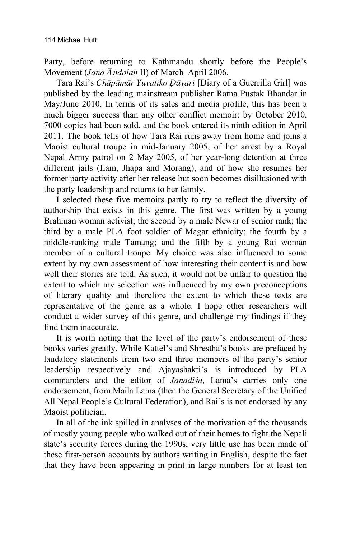Party, before returning to Kathmandu shortly before the People's Movement (*Jana ândolan* II) of March–April 2006.

Tara Rai's *Chāpāmār Yuvatīko Dāyarī* [Diary of a Guerrilla Girl] was published by the leading mainstream publisher Ratna Pustak Bhandar in May/June 2010. In terms of its sales and media profile, this has been a much bigger success than any other conflict memoir: by October 2010, 7000 copies had been sold, and the book entered its ninth edition in April 2011. The book tells of how Tara Rai runs away from home and joins a Maoist cultural troupe in mid-January 2005, of her arrest by a Royal Nepal Army patrol on 2 May 2005, of her year-long detention at three different jails (Ilam, Jhapa and Morang), and of how she resumes her former party activity after her release but soon becomes disillusioned with the party leadership and returns to her family.

I selected these five memoirs partly to try to reflect the diversity of authorship that exists in this genre. The first was written by a young Brahman woman activist; the second by a male Newar of senior rank; the third by a male PLA foot soldier of Magar ethnicity; the fourth by a middle-ranking male Tamang; and the fifth by a young Rai woman member of a cultural troupe. My choice was also influenced to some extent by my own assessment of how interesting their content is and how well their stories are told. As such, it would not be unfair to question the extent to which my selection was influenced by my own preconceptions of literary quality and therefore the extent to which these texts are representative of the genre as a whole. I hope other researchers will conduct a wider survey of this genre, and challenge my findings if they find them inaccurate.

It is worth noting that the level of the party's endorsement of these books varies greatly. While Kattel's and Shrestha's books are prefaced by laudatory statements from two and three members of the party's senior leadership respectively and Ajayashakti's is introduced by PLA commanders and the editor of *Janadisa*, Lama's carries only one endorsement, from Maila Lama (then the General Secretary of the Unified All Nepal People's Cultural Federation), and Rai's is not endorsed by any Maoist politician.

In all of the ink spilled in analyses of the motivation of the thousands of mostly young people who walked out of their homes to fight the Nepali state's security forces during the 1990s, very little use has been made of these first-person accounts by authors writing in English, despite the fact that they have been appearing in print in large numbers for at least ten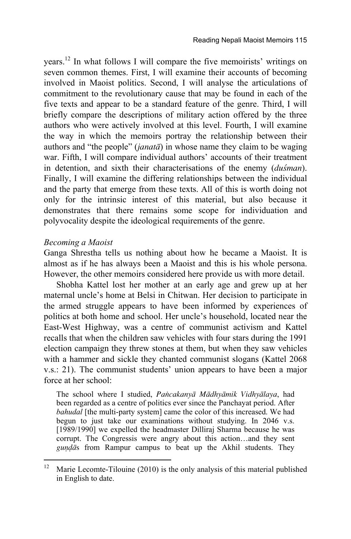years.12 In what follows I will compare the five memoirists' writings on seven common themes. First, I will examine their accounts of becoming involved in Maoist politics. Second, I will analyse the articulations of commitment to the revolutionary cause that may be found in each of the five texts and appear to be a standard feature of the genre. Third, I will briefly compare the descriptions of military action offered by the three authors who were actively involved at this level. Fourth, I will examine the way in which the memoirs portray the relationship between their authors and "the people" (*janatà*) in whose name they claim to be waging war. Fifth, I will compare individual authors' accounts of their treatment in detention, and sixth their characterisations of the enemy *(duśman)*. Finally, I will examine the differing relationships between the individual and the party that emerge from these texts. All of this is worth doing not only for the intrinsic interest of this material, but also because it demonstrates that there remains some scope for individuation and polyvocality despite the ideological requirements of the genre.

#### *Becoming a Maoist*

 $\overline{a}$ 

Ganga Shrestha tells us nothing about how he became a Maoist. It is almost as if he has always been a Maoist and this is his whole persona. However, the other memoirs considered here provide us with more detail.

Shobha Kattel lost her mother at an early age and grew up at her maternal uncle's home at Belsi in Chitwan. Her decision to participate in the armed struggle appears to have been informed by experiences of politics at both home and school. Her uncle's household, located near the East-West Highway, was a centre of communist activism and Kattel recalls that when the children saw vehicles with four stars during the 1991 election campaign they threw stones at them, but when they saw vehicles with a hammer and sickle they chanted communist slogans (Kattel 2068 v.s.: 21). The communist students' union appears to have been a major force at her school:

The school where I studied, *Païcakanyà Màdhyàmik Vidhyàlaya*, had been regarded as a centre of politics ever since the Panchayat period. After *bahudal* [the multi-party system] came the color of this increased. We had begun to just take our examinations without studying. In 2046 v.s. [1989/1990] we expelled the headmaster Dilliraj Sharma because he was corrupt. The Congressis were angry about this action…and they sent *gundas* from Rampur campus to beat up the Akhil students. They

<sup>&</sup>lt;sup>12</sup> Marie Lecomte-Tilouine (2010) is the only analysis of this material published in English to date.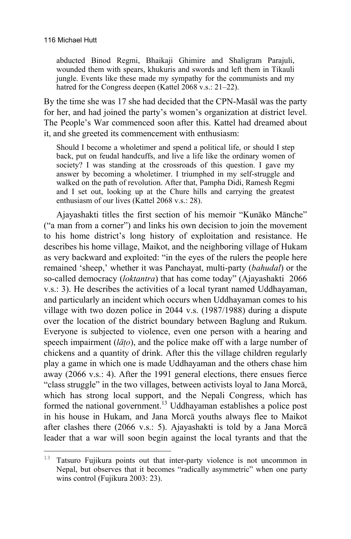$\overline{a}$ 

abducted Binod Regmi, Bhaikaji Ghimire and Shaligram Parajuli, wounded them with spears, khukuris and swords and left them in Tikauli jungle. Events like these made my sympathy for the communists and my hatred for the Congress deepen (Kattel 2068 v.s.: 21–22).

By the time she was 17 she had decided that the CPN-Masàl was the party for her, and had joined the party's women's organization at district level. The People's War commenced soon after this. Kattel had dreamed about it, and she greeted its commencement with enthusiasm:

Should I become a wholetimer and spend a political life, or should I step back, put on feudal handcuffs, and live a life like the ordinary women of society? I was standing at the crossroads of this question. I gave my answer by becoming a wholetimer. I triumphed in my self-struggle and walked on the path of revolution. After that, Pampha Didi, Ramesh Regmi and I set out, looking up at the Chure hills and carrying the greatest enthusiasm of our lives (Kattel 2068 v.s.: 28).

Ajayashakti titles the first section of his memoir "Kunàko Mànche" ("a man from a corner") and links his own decision to join the movement to his home district's long history of exploitation and resistance. He describes his home village, Maikot, and the neighboring village of Hukam as very backward and exploited: "in the eyes of the rulers the people here remained 'sheep,' whether it was Panchayat, multi-party (*bahudal*) or the so-called democracy (*loktantra*) that has come today" (Ajayashakti 2066 v.s.: 3). He describes the activities of a local tyrant named Uddhayaman, and particularly an incident which occurs when Uddhayaman comes to his village with two dozen police in 2044 v.s. (1987/1988) during a dispute over the location of the district boundary between Baglung and Rukum. Everyone is subjected to violence, even one person with a hearing and speech impairment (*làño*), and the police make off with a large number of chickens and a quantity of drink. After this the village children regularly play a game in which one is made Uddhayaman and the others chase him away (2066 v.s.: 4). After the 1991 general elections, there ensues fierce "class struggle" in the two villages, between activists loyal to Jana Morcà, which has strong local support, and the Nepali Congress, which has formed the national government.13 Uddhayaman establishes a police post in his house in Hukam, and Jana Morcà youths always flee to Maikot after clashes there (2066 v.s.: 5). Ajayashakti is told by a Jana Morcà leader that a war will soon begin against the local tyrants and that the

<sup>&</sup>lt;sup>13</sup> Tatsuro Fujikura points out that inter-party violence is not uncommon in Nepal, but observes that it becomes "radically asymmetric" when one party wins control (Fujikura 2003: 23).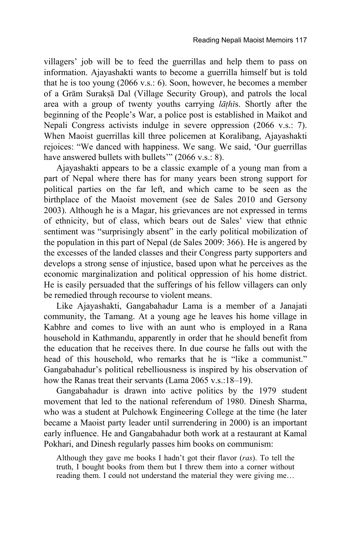villagers' job will be to feed the guerrillas and help them to pass on information. Ajayashakti wants to become a guerrilla himself but is told that he is too young (2066 v.s.: 6). Soon, however, he becomes a member of a Grām Suraksā Dal (Village Security Group), and patrols the local area with a group of twenty youths carrying *làñhã*s. Shortly after the beginning of the People's War, a police post is established in Maikot and Nepali Congress activists indulge in severe oppression (2066 v.s.: 7). When Maoist guerrillas kill three policemen at Koralibang, Ajayashakti rejoices: "We danced with happiness. We sang. We said, 'Our guerrillas have answered bullets with bullets'" (2066 v.s.: 8).

Ajayashakti appears to be a classic example of a young man from a part of Nepal where there has for many years been strong support for political parties on the far left, and which came to be seen as the birthplace of the Maoist movement (see de Sales 2010 and Gersony 2003). Although he is a Magar, his grievances are not expressed in terms of ethnicity, but of class, which bears out de Sales' view that ethnic sentiment was "surprisingly absent" in the early political mobilization of the population in this part of Nepal (de Sales 2009: 366). He is angered by the excesses of the landed classes and their Congress party supporters and develops a strong sense of injustice, based upon what he perceives as the economic marginalization and political oppression of his home district. He is easily persuaded that the sufferings of his fellow villagers can only be remedied through recourse to violent means.

Like Ajayashakti, Gangabahadur Lama is a member of a Janajati community, the Tamang. At a young age he leaves his home village in Kabhre and comes to live with an aunt who is employed in a Rana household in Kathmandu, apparently in order that he should benefit from the education that he receives there. In due course he falls out with the head of this household, who remarks that he is "like a communist." Gangabahadur's political rebelliousness is inspired by his observation of how the Ranas treat their servants (Lama 2065 v.s.:18–19).

Gangabahadur is drawn into active politics by the 1979 student movement that led to the national referendum of 1980. Dinesh Sharma, who was a student at Pulchowk Engineering College at the time (he later became a Maoist party leader until surrendering in 2000) is an important early influence. He and Gangabahadur both work at a restaurant at Kamal Pokhari, and Dinesh regularly passes him books on communism:

Although they gave me books I hadn't got their flavor (*ras*). To tell the truth, I bought books from them but I threw them into a corner without reading them. I could not understand the material they were giving me…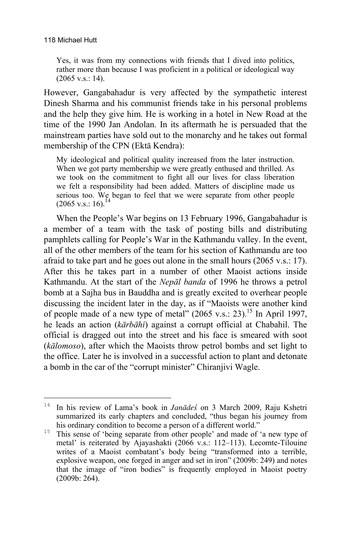Yes, it was from my connections with friends that I dived into politics, rather more than because I was proficient in a political or ideological way (2065 v.s.: 14).

However, Gangabahadur is very affected by the sympathetic interest Dinesh Sharma and his communist friends take in his personal problems and the help they give him. He is working in a hotel in New Road at the time of the 1990 Jan Andolan. In its aftermath he is persuaded that the mainstream parties have sold out to the monarchy and he takes out formal membership of the CPN (Ektà Kendra):

My ideological and political quality increased from the later instruction. When we got party membership we were greatly enthused and thrilled. As we took on the commitment to fight all our lives for class liberation we felt a responsibility had been added. Matters of discipline made us serious too. We began to feel that we were separate from other people  $(2065 \text{ v.s.}: 16).$ <sup>1</sup>

When the People's War begins on 13 February 1996, Gangabahadur is a member of a team with the task of posting bills and distributing pamphlets calling for People's War in the Kathmandu valley. In the event, all of the other members of the team for his section of Kathmandu are too afraid to take part and he goes out alone in the small hours (2065 v.s.: 17). After this he takes part in a number of other Maoist actions inside Kathmandu. At the start of the *Nepàl banda* of 1996 he throws a petrol bomb at a Sajha bus in Bauddha and is greatly excited to overhear people discussing the incident later in the day, as if "Maoists were another kind of people made of a new type of metal"  $(2065 \text{ v.s.}: 23)$ <sup>15</sup> In April 1997, he leads an action (*kàrbàhã*) against a corrupt official at Chabahil. The official is dragged out into the street and his face is smeared with soot (*kàlomoso*), after which the Maoists throw petrol bombs and set light to the office. Later he is involved in a successful action to plant and detonate a bomb in the car of the "corrupt minister" Chiranjivi Wagle.

 $14$ In his review of Lama's book in *Janādes* on 3 March 2009, Raju Kshetri summarized its early chapters and concluded, "thus began his journey from his ordinary condition to become a person of a different world."

<sup>&</sup>lt;sup>15</sup> This sense of 'being separate from other people' and made of 'a new type of metal' is reiterated by Ajayashakti (2066 v.s.: 112–113). Lecomte-Tilouine writes of a Maoist combatant's body being "transformed into a terrible, explosive weapon, one forged in anger and set in iron" (2009b: 249) and notes that the image of "iron bodies" is frequently employed in Maoist poetry (2009b: 264).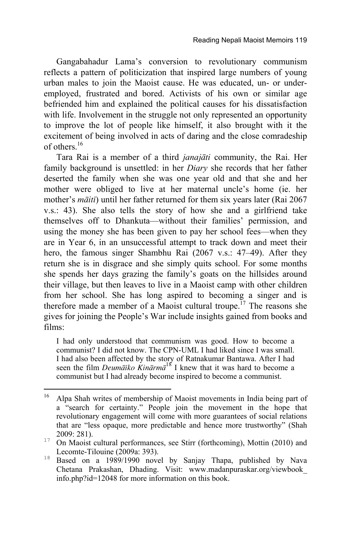Gangabahadur Lama's conversion to revolutionary communism reflects a pattern of politicization that inspired large numbers of young urban males to join the Maoist cause. He was educated, un- or underemployed, frustrated and bored. Activists of his own or similar age befriended him and explained the political causes for his dissatisfaction with life. Involvement in the struggle not only represented an opportunity to improve the lot of people like himself, it also brought with it the excitement of being involved in acts of daring and the close comradeship of others.16

Tara Rai is a member of a third *janajàti* community, the Rai. Her family background is unsettled: in her *Diary* she records that her father deserted the family when she was one year old and that she and her mother were obliged to live at her maternal uncle's home (ie. her mother's *màitã*) until her father returned for them six years later (Rai 2067 v.s.: 43). She also tells the story of how she and a girlfriend take themselves off to Dhankuta—without their families' permission, and using the money she has been given to pay her school fees—when they are in Year 6, in an unsuccessful attempt to track down and meet their hero, the famous singer Shambhu Rai (2067 v.s.: 47–49). After they return she is in disgrace and she simply quits school. For some months she spends her days grazing the family's goats on the hillsides around their village, but then leaves to live in a Maoist camp with other children from her school. She has long aspired to becoming a singer and is therefore made a member of a Maoist cultural troupe.<sup> $17$ </sup> The reasons she gives for joining the People's War include insights gained from books and films:

I had only understood that communism was good. How to become a communist? I did not know. The CPN-UML I had liked since I was small. I had also been affected by the story of Ratnakumar Bantawa. After I had seen the film *Deumàãko Kinàrmà*18 I knew that it was hard to become a communist but I had already become inspired to become a communist.

 $16$ Alpa Shah writes of membership of Maoist movements in India being part of a "search for certainty." People join the movement in the hope that revolutionary engagement will come with more guarantees of social relations that are "less opaque, more predictable and hence more trustworthy" (Shah

<sup>&</sup>lt;sup>17</sup> On Maoist cultural performances, see Stirr (forthcoming), Mottin (2010) and

Lecomte-Tilouine (2009a: 393). <sup>18</sup> Based on a 1989/1990 novel by Sanjay Thapa, published by Nava Chetana Prakashan, Dhading. Visit: www.madanpuraskar.org/viewbook\_ info.php?id=12048 for more information on this book.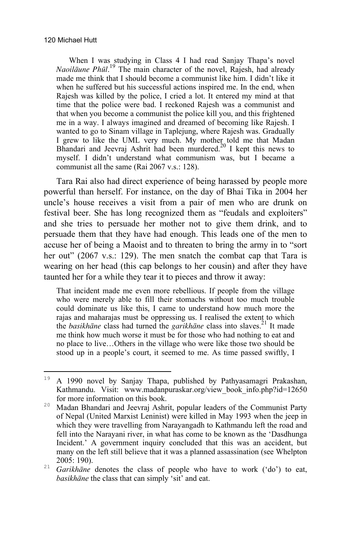When I was studying in Class 4 I had read Sanjay Thapa's novel *Naoilàune Phål*. 19 The main character of the novel, Rajesh, had already made me think that I should become a communist like him. I didn't like it when he suffered but his successful actions inspired me. In the end, when Rajesh was killed by the police, I cried a lot. It entered my mind at that time that the police were bad. I reckoned Rajesh was a communist and that when you become a communist the police kill you, and this frightened me in a way. I always imagined and dreamed of becoming like Rajesh. I wanted to go to Sinam village in Taplejung, where Rajesh was. Gradually I grew to like the UML very much. My mother told me that Madan Bhandari and Jeevraj Ashrit had been murdered.<sup>20</sup> I kept this news to myself. I didn't understand what communism was, but I became a communist all the same (Rai 2067 v.s.: 128).

Tara Rai also had direct experience of being harassed by people more powerful than herself. For instance, on the day of Bhai Tika in 2004 her uncle's house receives a visit from a pair of men who are drunk on festival beer. She has long recognized them as "feudals and exploiters" and she tries to persuade her mother not to give them drink, and to persuade them that they have had enough. This leads one of the men to accuse her of being a Maoist and to threaten to bring the army in to "sort her out" (2067 v.s.: 129). The men snatch the combat cap that Tara is wearing on her head (this cap belongs to her cousin) and after they have taunted her for a while they tear it to pieces and throw it away:

That incident made me even more rebellious. If people from the village who were merely able to fill their stomachs without too much trouble could dominate us like this, I came to understand how much more the rajas and maharajas must be oppressing us. I realised the extent to which the *basikhane* class had turned the *garikhane* class into slaves.<sup>21</sup> It made me think how much worse it must be for those who had nothing to eat and no place to live…Others in the village who were like those two should be stood up in a people's court, it seemed to me. As time passed swiftly, I

<sup>19</sup> <sup>19</sup> A 1990 novel by Sanjay Thapa, published by Pathyasamagri Prakashan, Kathmandu. Visit: www.madanpuraskar.org/view\_book\_info.php?id=12650 for more information on this book.

<sup>&</sup>lt;sup>20</sup> Madan Bhandari and Jeevraj Ashrit, popular leaders of the Communist Party of Nepal (United Marxist Leninist) were killed in May 1993 when the jeep in which they were travelling from Narayangadh to Kathmandu left the road and fell into the Narayani river, in what has come to be known as the 'Dasdhunga Incident.' A government inquiry concluded that this was an accident, but many on the left still believe that it was a planned assassination (see Whelpton

<sup>2005: 190).</sup> <sup>21</sup> *Garikhàne* denotes the class of people who have to work ('do') to eat, *basikhàne* the class that can simply 'sit' and eat.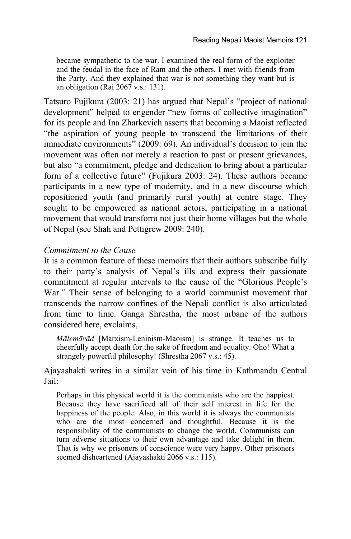became sympathetic to the war. I examined the real form of the exploiter and the feudal in the face of Ram and the others. I met with friends from the Party. And they explained that war is not something they want but is an obligation (Rai  $2067$  v.s.: 131).

Tatsuro Fujikura (2003: 21) has argued that Nepal's "project of national development" helped to engender "new forms of collective imagination" for its people and Ina Zharkevich asserts that becoming a Maoist reflected "the aspiration of young people to transcend the limitations of their immediate environments" (2009: 69). An individual's decision to join the movement was often not merely a reaction to past or present grievances, but also "a commitment, pledge and dedication to bring about a particular form of a collective future" (Fujikura 2003: 24). These authors became participants in a new type of modernity, and in a new discourse which repositioned youth (and primarily rural youth) at centre stage. They sought to be empowered as national actors, participating in a national movement that would transform not just their home villages but the whole of Nepal (see Shah and Pettigrew 2009: 240).

## *Commitment to the Cause*

It is a common feature of these memoirs that their authors subscribe fully to their party's analysis of Nepal's ills and express their passionate commitment at regular intervals to the cause of the "Glorious People's War." Their sense of belonging to a world communist movement that transcends the narrow confines of the Nepali conflict is also articulated from time to time. Ganga Shrestha, the most urbane of the authors considered here, exclaims,

*Màlemàvàd* [Marxism-Leninism-Maoism] is strange. It teaches us to cheerfully accept death for the sake of freedom and equality. Oho! What a strangely powerful philosophy! (Shrestha 2067 v.s.: 45).

Ajayashakti writes in a similar vein of his time in Kathmandu Central Jail:

Perhaps in this physical world it is the communists who are the happiest. Because they have sacrificed all of their self interest in life for the happiness of the people. Also, in this world it is always the communists who are the most concerned and thoughtful. Because it is the responsibility of the communists to change the world. Communists can turn adverse situations to their own advantage and take delight in them. That is why we prisoners of conscience were very happy. Other prisoners seemed disheartened (Ajayashakti 2066 v.s.: 115).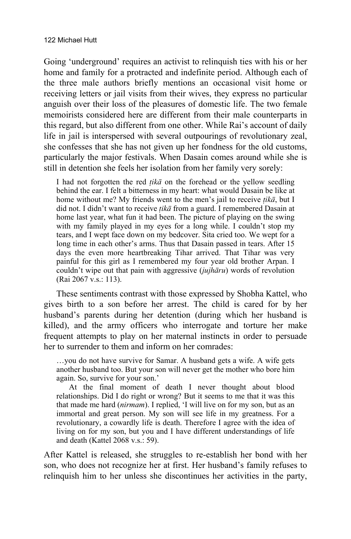Going 'underground' requires an activist to relinquish ties with his or her home and family for a protracted and indefinite period. Although each of the three male authors briefly mentions an occasional visit home or receiving letters or jail visits from their wives, they express no particular anguish over their loss of the pleasures of domestic life. The two female memoirists considered here are different from their male counterparts in this regard, but also different from one other. While Rai's account of daily life in jail is interspersed with several outpourings of revolutionary zeal, she confesses that she has not given up her fondness for the old customs, particularly the major festivals. When Dasain comes around while she is still in detention she feels her isolation from her family very sorely:

I had not forgotten the red  $\vec{h}$  and the forehead or the yellow seedling behind the ear. I felt a bitterness in my heart: what would Dasain be like at home without me? My friends went to the men's jail to receive *ñikà*, but I did not. I didn't want to receive *ñikà* from a guard. I remembered Dasain at home last year, what fun it had been. The picture of playing on the swing with my family played in my eyes for a long while. I couldn't stop my tears, and I wept face down on my bedcover. Sita cried too. We wept for a long time in each other's arms. Thus that Dasain passed in tears. After 15 days the even more heartbreaking Tihar arrived. That Tihar was very painful for this girl as I remembered my four year old brother Arpan. I couldn't wipe out that pain with aggressive (*jujhàru*) words of revolution (Rai 2067 v.s.: 113).

These sentiments contrast with those expressed by Shobha Kattel, who gives birth to a son before her arrest. The child is cared for by her husband's parents during her detention (during which her husband is killed), and the army officers who interrogate and torture her make frequent attempts to play on her maternal instincts in order to persuade her to surrender to them and inform on her comrades:

…you do not have survive for Samar. A husband gets a wife. A wife gets another husband too. But your son will never get the mother who bore him again. So, survive for your son.'

At the final moment of death I never thought about blood relationships. Did I do right or wrong? But it seems to me that it was this that made me hard (*nirmam*). I replied, 'I will live on for my son, but as an immortal and great person. My son will see life in my greatness. For a revolutionary, a cowardly life is death. Therefore I agree with the idea of living on for my son, but you and I have different understandings of life and death (Kattel 2068 v.s.: 59).

After Kattel is released, she struggles to re-establish her bond with her son, who does not recognize her at first. Her husband's family refuses to relinquish him to her unless she discontinues her activities in the party,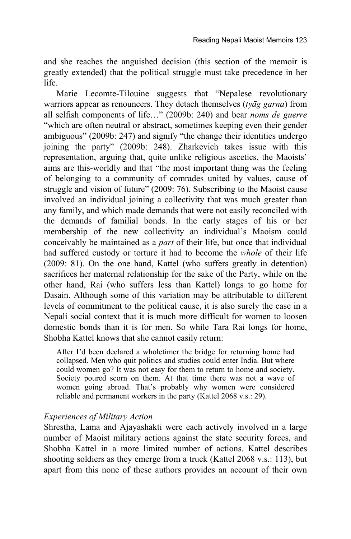and she reaches the anguished decision (this section of the memoir is greatly extended) that the political struggle must take precedence in her life.

Marie Lecomte-Tilouine suggests that "Nepalese revolutionary warriors appear as renouncers. They detach themselves (*tyàg garna*) from all selfish components of life…" (2009b: 240) and bear *noms de guerre* "which are often neutral or abstract, sometimes keeping even their gender ambiguous" (2009b: 247) and signify "the change their identities undergo joining the party" (2009b: 248). Zharkevich takes issue with this representation, arguing that, quite unlike religious ascetics, the Maoists' aims are this-worldly and that "the most important thing was the feeling of belonging to a community of comrades united by values, cause of struggle and vision of future" (2009: 76). Subscribing to the Maoist cause involved an individual joining a collectivity that was much greater than any family, and which made demands that were not easily reconciled with the demands of familial bonds. In the early stages of his or her membership of the new collectivity an individual's Maoism could conceivably be maintained as a *part* of their life, but once that individual had suffered custody or torture it had to become the *whole* of their life (2009: 81). On the one hand, Kattel (who suffers greatly in detention) sacrifices her maternal relationship for the sake of the Party, while on the other hand, Rai (who suffers less than Kattel) longs to go home for Dasain. Although some of this variation may be attributable to different levels of commitment to the political cause, it is also surely the case in a Nepali social context that it is much more difficult for women to loosen domestic bonds than it is for men. So while Tara Rai longs for home, Shobha Kattel knows that she cannot easily return:

After I'd been declared a wholetimer the bridge for returning home had collapsed. Men who quit politics and studies could enter India. But where could women go? It was not easy for them to return to home and society. Society poured scorn on them. At that time there was not a wave of women going abroad. That's probably why women were considered reliable and permanent workers in the party (Kattel 2068 v.s.: 29).

#### *Experiences of Military Action*

Shrestha, Lama and Ajayashakti were each actively involved in a large number of Maoist military actions against the state security forces, and Shobha Kattel in a more limited number of actions. Kattel describes shooting soldiers as they emerge from a truck (Kattel 2068 v.s.: 113), but apart from this none of these authors provides an account of their own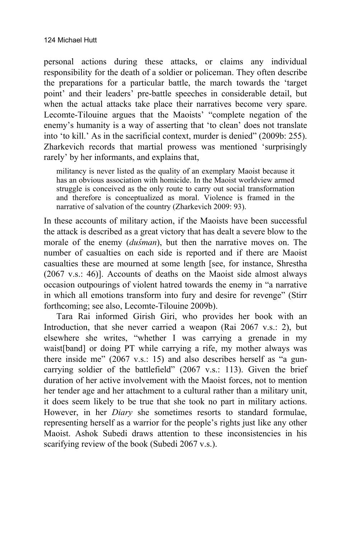personal actions during these attacks, or claims any individual responsibility for the death of a soldier or policeman. They often describe the preparations for a particular battle, the march towards the 'target point' and their leaders' pre-battle speeches in considerable detail, but when the actual attacks take place their narratives become very spare. Lecomte-Tilouine argues that the Maoists' "complete negation of the enemy's humanity is a way of asserting that 'to clean' does not translate into 'to kill.' As in the sacrificial context, murder is denied" (2009b: 255). Zharkevich records that martial prowess was mentioned 'surprisingly rarely' by her informants, and explains that,

militancy is never listed as the quality of an exemplary Maoist because it has an obvious association with homicide. In the Maoist worldview armed struggle is conceived as the only route to carry out social transformation and therefore is conceptualized as moral. Violence is framed in the narrative of salvation of the country (Zharkevich 2009: 93).

In these accounts of military action, if the Maoists have been successful the attack is described as a great victory that has dealt a severe blow to the morale of the enemy *(dusman)*, but then the narrative moves on. The number of casualties on each side is reported and if there are Maoist casualties these are mourned at some length [see, for instance, Shrestha (2067 v.s.: 46)]. Accounts of deaths on the Maoist side almost always occasion outpourings of violent hatred towards the enemy in "a narrative in which all emotions transform into fury and desire for revenge" (Stirr forthcoming; see also, Lecomte-Tilouine 2009b).

Tara Rai informed Girish Giri, who provides her book with an Introduction, that she never carried a weapon (Rai 2067 v.s.: 2), but elsewhere she writes, "whether I was carrying a grenade in my waist[band] or doing PT while carrying a rife, my mother always was there inside me" (2067 v.s.: 15) and also describes herself as "a guncarrying soldier of the battlefield" (2067 v.s.: 113). Given the brief duration of her active involvement with the Maoist forces, not to mention her tender age and her attachment to a cultural rather than a military unit, it does seem likely to be true that she took no part in military actions. However, in her *Diary* she sometimes resorts to standard formulae, representing herself as a warrior for the people's rights just like any other Maoist. Ashok Subedi draws attention to these inconsistencies in his scarifying review of the book (Subedi 2067 v.s.).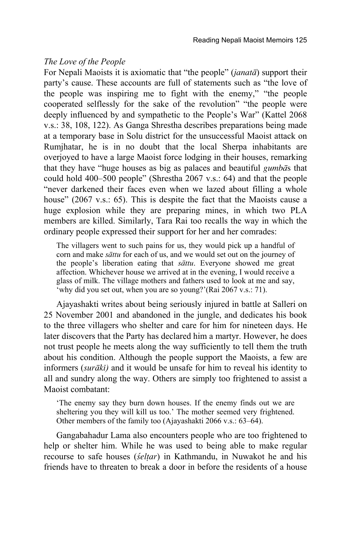## *The Love of the People*

For Nepali Maoists it is axiomatic that "the people" (*janatà*) support their party's cause. These accounts are full of statements such as "the love of the people was inspiring me to fight with the enemy," "the people cooperated selflessly for the sake of the revolution" "the people were deeply influenced by and sympathetic to the People's War" (Kattel 2068 v.s.: 38, 108, 122). As Ganga Shrestha describes preparations being made at a temporary base in Solu district for the unsuccessful Maoist attack on Rumjhatar, he is in no doubt that the local Sherpa inhabitants are overjoyed to have a large Maoist force lodging in their houses, remarking that they have "huge houses as big as palaces and beautiful *gumbà*s that could hold 400–500 people" (Shrestha 2067 v.s.: 64) and that the people "never darkened their faces even when we lazed about filling a whole house" (2067 v.s.: 65). This is despite the fact that the Maoists cause a huge explosion while they are preparing mines, in which two PLA members are killed. Similarly, Tara Rai too recalls the way in which the ordinary people expressed their support for her and her comrades:

The villagers went to such pains for us, they would pick up a handful of corn and make *sàttu* for each of us, and we would set out on the journey of the people's liberation eating that *sàttu*. Everyone showed me great affection. Whichever house we arrived at in the evening, I would receive a glass of milk. The village mothers and fathers used to look at me and say, 'why did you set out, when you are so young?'(Rai 2067 v.s.: 71).

Ajayashakti writes about being seriously injured in battle at Salleri on 25 November 2001 and abandoned in the jungle, and dedicates his book to the three villagers who shelter and care for him for nineteen days. He later discovers that the Party has declared him a martyr. However, he does not trust people he meets along the way sufficiently to tell them the truth about his condition. Although the people support the Maoists, a few are informers (*suràkã)* and it would be unsafe for him to reveal his identity to all and sundry along the way. Others are simply too frightened to assist a Maoist combatant:

'The enemy say they burn down houses. If the enemy finds out we are sheltering you they will kill us too.' The mother seemed very frightened. Other members of the family too (Ajayashakti 2066 v.s.: 63–64).

Gangabahadur Lama also encounters people who are too frightened to help or shelter him. While he was used to being able to make regular recourse to safe houses (*÷elñar*) in Kathmandu, in Nuwakot he and his friends have to threaten to break a door in before the residents of a house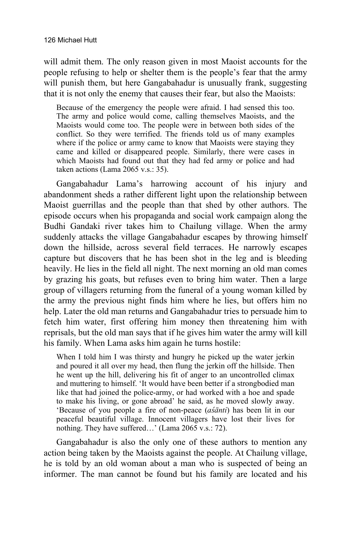will admit them. The only reason given in most Maoist accounts for the people refusing to help or shelter them is the people's fear that the army will punish them, but here Gangabahadur is unusually frank, suggesting that it is not only the enemy that causes their fear, but also the Maoists:

Because of the emergency the people were afraid. I had sensed this too. The army and police would come, calling themselves Maoists, and the Maoists would come too. The people were in between both sides of the conflict. So they were terrified. The friends told us of many examples where if the police or army came to know that Maoists were staying they came and killed or disappeared people. Similarly, there were cases in which Maoists had found out that they had fed army or police and had taken actions (Lama 2065 v.s.: 35).

Gangabahadur Lama's harrowing account of his injury and abandonment sheds a rather different light upon the relationship between Maoist guerrillas and the people than that shed by other authors. The episode occurs when his propaganda and social work campaign along the Budhi Gandaki river takes him to Chailung village. When the army suddenly attacks the village Gangabahadur escapes by throwing himself down the hillside, across several field terraces. He narrowly escapes capture but discovers that he has been shot in the leg and is bleeding heavily. He lies in the field all night. The next morning an old man comes by grazing his goats, but refuses even to bring him water. Then a large group of villagers returning from the funeral of a young woman killed by the army the previous night finds him where he lies, but offers him no help. Later the old man returns and Gangabahadur tries to persuade him to fetch him water, first offering him money then threatening him with reprisals, but the old man says that if he gives him water the army will kill his family. When Lama asks him again he turns hostile:

When I told him I was thirsty and hungry he picked up the water jerkin and poured it all over my head, then flung the jerkin off the hillside. Then he went up the hill, delivering his fit of anger to an uncontrolled climax and muttering to himself. 'It would have been better if a strongbodied man like that had joined the police-army, or had worked with a hoe and spade to make his living, or gone abroad' he said, as he moved slowly away. 'Because of you people a fire of non-peace (*asanti*) has been lit in our peaceful beautiful village. Innocent villagers have lost their lives for nothing. They have suffered…' (Lama 2065 v.s.: 72).

Gangabahadur is also the only one of these authors to mention any action being taken by the Maoists against the people. At Chailung village, he is told by an old woman about a man who is suspected of being an informer. The man cannot be found but his family are located and his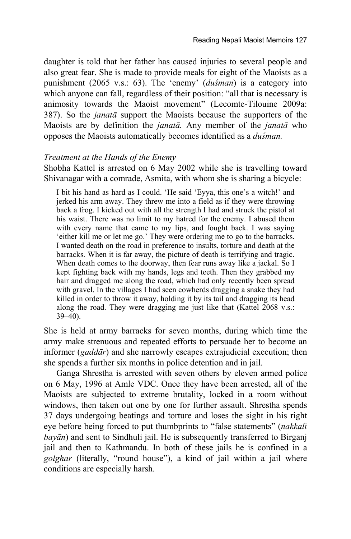daughter is told that her father has caused injuries to several people and also great fear. She is made to provide meals for eight of the Maoists as a punishment (2065 v.s.: 63). The 'enemy' (*dusman*) is a category into which anyone can fall, regardless of their position: "all that is necessary is animosity towards the Maoist movement" (Lecomte-Tilouine 2009a: 387). So the *janatà* support the Maoists because the supporters of the Maoists are by definition the *janatà.* Any member of the *janatà* who opposes the Maoists automatically becomes identified as a *du÷man.* 

#### *Treatment at the Hands of the Enemy*

Shobha Kattel is arrested on 6 May 2002 while she is travelling toward Shivanagar with a comrade, Asmita, with whom she is sharing a bicycle:

I bit his hand as hard as I could. 'He said 'Eyya, this one's a witch!' and jerked his arm away. They threw me into a field as if they were throwing back a frog. I kicked out with all the strength I had and struck the pistol at his waist. There was no limit to my hatred for the enemy. I abused them with every name that came to my lips, and fought back. I was saying 'either kill me or let me go.' They were ordering me to go to the barracks. I wanted death on the road in preference to insults, torture and death at the barracks. When it is far away, the picture of death is terrifying and tragic. When death comes to the doorway, then fear runs away like a jackal. So I kept fighting back with my hands, legs and teeth. Then they grabbed my hair and dragged me along the road, which had only recently been spread with gravel. In the villages I had seen cowherds dragging a snake they had killed in order to throw it away, holding it by its tail and dragging its head along the road. They were dragging me just like that (Kattel 2068 v.s.: 39–40).

She is held at army barracks for seven months, during which time the army make strenuous and repeated efforts to persuade her to become an informer (*gaddàr*) and she narrowly escapes extrajudicial execution; then she spends a further six months in police detention and in jail.

Ganga Shrestha is arrested with seven others by eleven armed police on 6 May, 1996 at Amle VDC. Once they have been arrested, all of the Maoists are subjected to extreme brutality, locked in a room without windows, then taken out one by one for further assault. Shrestha spends 37 days undergoing beatings and torture and loses the sight in his right eye before being forced to put thumbprints to "false statements" (*nakkalã bayàn*) and sent to Sindhuli jail. He is subsequently transferred to Birganj jail and then to Kathmandu. In both of these jails he is confined in a *golghar* (literally, "round house"), a kind of jail within a jail where conditions are especially harsh.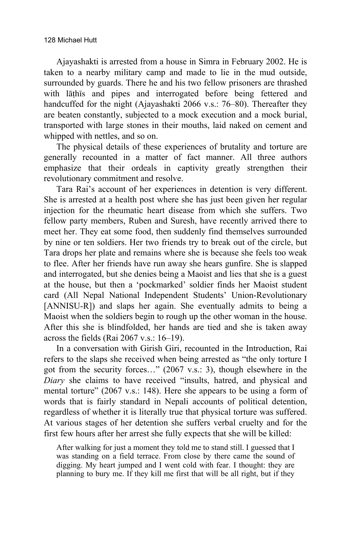Ajayashakti is arrested from a house in Simra in February 2002. He is taken to a nearby military camp and made to lie in the mud outside, surrounded by guards. There he and his two fellow prisoners are thrashed with lāthīs and pipes and interrogated before being fettered and handcuffed for the night (Ajayashakti 2066 v.s.: 76–80). Thereafter they are beaten constantly, subjected to a mock execution and a mock burial, transported with large stones in their mouths, laid naked on cement and whipped with nettles, and so on.

The physical details of these experiences of brutality and torture are generally recounted in a matter of fact manner. All three authors emphasize that their ordeals in captivity greatly strengthen their revolutionary commitment and resolve.

Tara Rai's account of her experiences in detention is very different. She is arrested at a health post where she has just been given her regular injection for the rheumatic heart disease from which she suffers. Two fellow party members, Ruben and Suresh, have recently arrived there to meet her. They eat some food, then suddenly find themselves surrounded by nine or ten soldiers. Her two friends try to break out of the circle, but Tara drops her plate and remains where she is because she feels too weak to flee. After her friends have run away she hears gunfire. She is slapped and interrogated, but she denies being a Maoist and lies that she is a guest at the house, but then a 'pockmarked' soldier finds her Maoist student card (All Nepal National Independent Students' Union-Revolutionary [ANNISU-R]) and slaps her again. She eventually admits to being a Maoist when the soldiers begin to rough up the other woman in the house. After this she is blindfolded, her hands are tied and she is taken away across the fields (Rai 2067 v.s.: 16–19).

In a conversation with Girish Giri, recounted in the Introduction, Rai refers to the slaps she received when being arrested as "the only torture I got from the security forces…" (2067 v.s.: 3), though elsewhere in the *Diary* she claims to have received "insults, hatred, and physical and mental torture" (2067 v.s.: 148). Here she appears to be using a form of words that is fairly standard in Nepali accounts of political detention, regardless of whether it is literally true that physical torture was suffered. At various stages of her detention she suffers verbal cruelty and for the first few hours after her arrest she fully expects that she will be killed:

After walking for just a moment they told me to stand still. I guessed that I was standing on a field terrace. From close by there came the sound of digging. My heart jumped and I went cold with fear. I thought: they are planning to bury me. If they kill me first that will be all right, but if they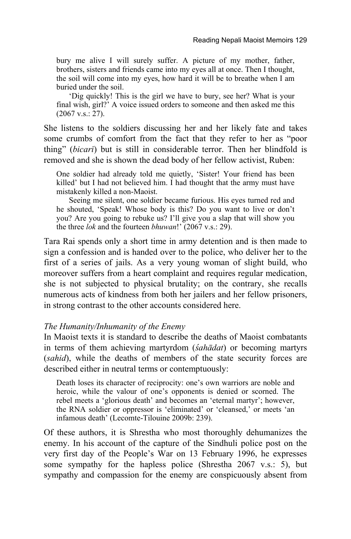bury me alive I will surely suffer. A picture of my mother, father, brothers, sisters and friends came into my eyes all at once. Then I thought, the soil will come into my eyes, how hard it will be to breathe when I am buried under the soil.

 'Dig quickly! This is the girl we have to bury, see her? What is your final wish, girl?' A voice issued orders to someone and then asked me this (2067 v.s.: 27).

She listens to the soldiers discussing her and her likely fate and takes some crumbs of comfort from the fact that they refer to her as "poor thing" (*bicarã*) but is still in considerable terror. Then her blindfold is removed and she is shown the dead body of her fellow activist, Ruben:

One soldier had already told me quietly, 'Sister! Your friend has been killed' but I had not believed him. I had thought that the army must have mistakenly killed a non-Maoist.

Seeing me silent, one soldier became furious. His eyes turned red and he shouted, 'Speak! Whose body is this? Do you want to live or don't you? Are you going to rebuke us? I'll give you a slap that will show you the three *lok* and the fourteen *bhuwan*!' (2067 v.s.: 29).

Tara Rai spends only a short time in army detention and is then made to sign a confession and is handed over to the police, who deliver her to the first of a series of jails. As a very young woman of slight build, who moreover suffers from a heart complaint and requires regular medication, she is not subjected to physical brutality; on the contrary, she recalls numerous acts of kindness from both her jailers and her fellow prisoners, in strong contrast to the other accounts considered here.

#### *The Humanity/Inhumanity of the Enemy*

In Maoist texts it is standard to describe the deaths of Maoist combatants in terms of them achieving martyrdom *(sahādat)* or becoming martyrs (*sahid*), while the deaths of members of the state security forces are described either in neutral terms or contemptuously:

Death loses its character of reciprocity: one's own warriors are noble and heroic, while the valour of one's opponents is denied or scorned. The rebel meets a 'glorious death' and becomes an 'eternal martyr'; however, the RNA soldier or oppressor is 'eliminated' or 'cleansed,' or meets 'an infamous death' (Lecomte-Tilouine 2009b: 239).

Of these authors, it is Shrestha who most thoroughly dehumanizes the enemy. In his account of the capture of the Sindhuli police post on the very first day of the People's War on 13 February 1996, he expresses some sympathy for the hapless police (Shrestha 2067 v.s.: 5), but sympathy and compassion for the enemy are conspicuously absent from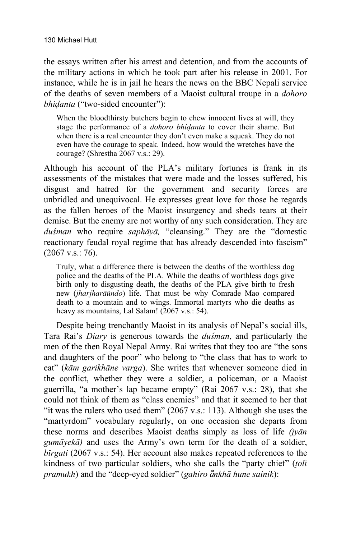the essays written after his arrest and detention, and from the accounts of the military actions in which he took part after his release in 2001. For instance, while he is in jail he hears the news on the BBC Nepali service of the deaths of seven members of a Maoist cultural troupe in a *dohoro bhióanta* ("two-sided encounter"):

When the bloodthirsty butchers begin to chew innocent lives at will, they stage the performance of a *dohoro bhióanta* to cover their shame. But when there is a real encounter they don't even make a squeak. They do not even have the courage to speak. Indeed, how would the wretches have the courage? (Shrestha 2067 v.s.: 29).

Although his account of the PLA's military fortunes is frank in its assessments of the mistakes that were made and the losses suffered, his disgust and hatred for the government and security forces are unbridled and unequivocal. He expresses great love for those he regards as the fallen heroes of the Maoist insurgency and sheds tears at their demise. But the enemy are not worthy of any such consideration. They are *du÷man* who require *saphàyà,* "cleansing." They are the "domestic reactionary feudal royal regime that has already descended into fascism" (2067 v.s.: 76).

Truly, what a difference there is between the deaths of the worthless dog police and the deaths of the PLA. While the deaths of worthless dogs give birth only to disgusting death, the deaths of the PLA give birth to fresh new (*jharjharāũndo*) life. That must be why Comrade Mao compared death to a mountain and to wings. Immortal martyrs who die deaths as heavy as mountains, Lal Salam! (2067 v.s.: 54).

Despite being trenchantly Maoist in its analysis of Nepal's social ills, Tara Rai's *Diary* is generous towards the *du÷man*, and particularly the men of the then Royal Nepal Army. Rai writes that they too are "the sons and daughters of the poor" who belong to "the class that has to work to eat" (*kàm garikhàne varga*). She writes that whenever someone died in the conflict, whether they were a soldier, a policeman, or a Maoist guerrilla, "a mother's lap became empty" (Rai 2067 v.s.: 28), that she could not think of them as "class enemies" and that it seemed to her that "it was the rulers who used them"  $(2067 \text{ v.s.}: 113)$ . Although she uses the "martyrdom" vocabulary regularly, on one occasion she departs from these norms and describes Maoist deaths simply as loss of life *(jyàn gumàyekà)* and uses the Army's own term for the death of a soldier, *birgati* (2067 v.s.: 54). Her account also makes repeated references to the kindness of two particular soldiers, who she calls the "party chief" (*ñolã pramukh*) and the "deep-eyed soldier" (*gahiro ƒnkhà hune sainik*):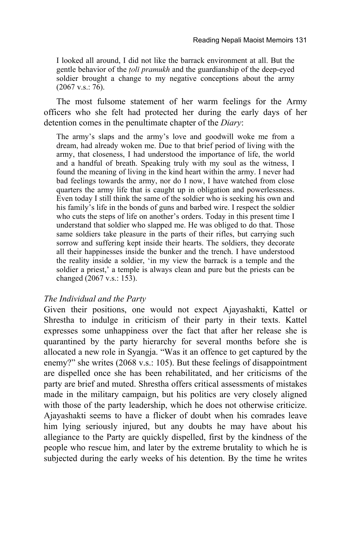I looked all around, I did not like the barrack environment at all. But the gentle behavior of the *ñolã pramukh* and the guardianship of the deep-eyed soldier brought a change to my negative conceptions about the army  $(2067 \text{ v.s.}: 76)$ .

The most fulsome statement of her warm feelings for the Army officers who she felt had protected her during the early days of her detention comes in the penultimate chapter of the *Diary*:

The army's slaps and the army's love and goodwill woke me from a dream, had already woken me. Due to that brief period of living with the army, that closeness, I had understood the importance of life, the world and a handful of breath. Speaking truly with my soul as the witness, I found the meaning of living in the kind heart within the army. I never had bad feelings towards the army, nor do I now, I have watched from close quarters the army life that is caught up in obligation and powerlessness. Even today I still think the same of the soldier who is seeking his own and his family's life in the bonds of guns and barbed wire. I respect the soldier who cuts the steps of life on another's orders. Today in this present time I understand that soldier who slapped me. He was obliged to do that. Those same soldiers take pleasure in the parts of their rifles, but carrying such sorrow and suffering kept inside their hearts. The soldiers, they decorate all their happinesses inside the bunker and the trench. I have understood the reality inside a soldier, 'in my view the barrack is a temple and the soldier a priest,' a temple is always clean and pure but the priests can be changed  $(2067 \text{ v.s.}: 153)$ .

#### *The Individual and the Party*

Given their positions, one would not expect Ajayashakti, Kattel or Shrestha to indulge in criticism of their party in their texts. Kattel expresses some unhappiness over the fact that after her release she is quarantined by the party hierarchy for several months before she is allocated a new role in Syangja. "Was it an offence to get captured by the enemy?" she writes (2068 v.s.: 105). But these feelings of disappointment are dispelled once she has been rehabilitated, and her criticisms of the party are brief and muted. Shrestha offers critical assessments of mistakes made in the military campaign, but his politics are very closely aligned with those of the party leadership, which he does not otherwise criticize. Ajayashakti seems to have a flicker of doubt when his comrades leave him lying seriously injured, but any doubts he may have about his allegiance to the Party are quickly dispelled, first by the kindness of the people who rescue him, and later by the extreme brutality to which he is subjected during the early weeks of his detention. By the time he writes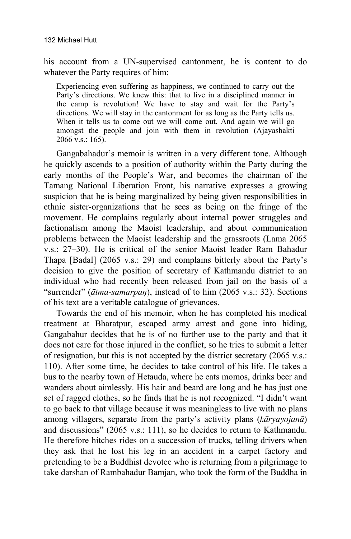his account from a UN-supervised cantonment, he is content to do whatever the Party requires of him:

Experiencing even suffering as happiness, we continued to carry out the Party's directions. We knew this: that to live in a disciplined manner in the camp is revolution! We have to stay and wait for the Party's directions. We will stay in the cantonment for as long as the Party tells us. When it tells us to come out we will come out. And again we will go amongst the people and join with them in revolution (Ajayashakti 2066 v.s.: 165).

Gangabahadur's memoir is written in a very different tone. Although he quickly ascends to a position of authority within the Party during the early months of the People's War, and becomes the chairman of the Tamang National Liberation Front, his narrative expresses a growing suspicion that he is being marginalized by being given responsibilities in ethnic sister-organizations that he sees as being on the fringe of the movement. He complains regularly about internal power struggles and factionalism among the Maoist leadership, and about communication problems between the Maoist leadership and the grassroots (Lama 2065 v.s.: 27–30). He is critical of the senior Maoist leader Ram Bahadur Thapa [Badal] (2065 v.s.: 29) and complains bitterly about the Party's decision to give the position of secretary of Kathmandu district to an individual who had recently been released from jail on the basis of a "surrender" ( $\bar{a}$ *tma-samarpan*), instead of to him (2065 v.s.: 32). Sections of his text are a veritable catalogue of grievances.

Towards the end of his memoir, when he has completed his medical treatment at Bharatpur, escaped army arrest and gone into hiding, Gangabahur decides that he is of no further use to the party and that it does not care for those injured in the conflict, so he tries to submit a letter of resignation, but this is not accepted by the district secretary (2065 v.s.: 110). After some time, he decides to take control of his life. He takes a bus to the nearby town of Hetauda, where he eats momos, drinks beer and wanders about aimlessly. His hair and beard are long and he has just one set of ragged clothes, so he finds that he is not recognized. "I didn't want to go back to that village because it was meaningless to live with no plans among villagers, separate from the party's activity plans (*kàryayojanà*) and discussions" (2065 v.s.: 111), so he decides to return to Kathmandu. He therefore hitches rides on a succession of trucks, telling drivers when they ask that he lost his leg in an accident in a carpet factory and pretending to be a Buddhist devotee who is returning from a pilgrimage to take darshan of Rambahadur Bamjan, who took the form of the Buddha in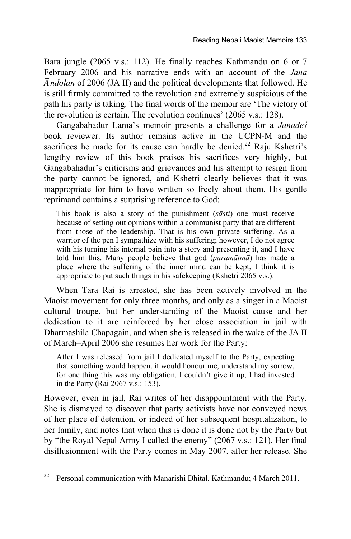Bara jungle (2065 v.s.: 112). He finally reaches Kathmandu on 6 or 7 February 2006 and his narrative ends with an account of the *Jana ândolan* of 2006 (JA II) and the political developments that followed. He is still firmly committed to the revolution and extremely suspicious of the path his party is taking. The final words of the memoir are 'The victory of the revolution is certain. The revolution continues' (2065 v.s.: 128).

Gangabahadur Lama's memoir presents a challenge for a *Janàde÷* book reviewer. Its author remains active in the UCPN-M and the sacrifices he made for its cause can hardly be denied.<sup>22</sup> Raju Kshetri's lengthy review of this book praises his sacrifices very highly, but Gangabahadur's criticisms and grievances and his attempt to resign from the party cannot be ignored, and Kshetri clearly believes that it was inappropriate for him to have written so freely about them. His gentle reprimand contains a surprising reference to God:

This book is also a story of the punishment (*sàstã*) one must receive because of setting out opinions within a communist party that are different from those of the leadership. That is his own private suffering. As a warrior of the pen I sympathize with his suffering; however, I do not agree with his turning his internal pain into a story and presenting it, and I have told him this. Many people believe that god (*paramàtmà*) has made a place where the suffering of the inner mind can be kept, I think it is appropriate to put such things in his safekeeping (Kshetri 2065 v.s.).

When Tara Rai is arrested, she has been actively involved in the Maoist movement for only three months, and only as a singer in a Maoist cultural troupe, but her understanding of the Maoist cause and her dedication to it are reinforced by her close association in jail with Dharmashila Chapagain, and when she is released in the wake of the JA II of March–April 2006 she resumes her work for the Party:

After I was released from jail I dedicated myself to the Party, expecting that something would happen, it would honour me, understand my sorrow, for one thing this was my obligation. I couldn't give it up, I had invested in the Party (Rai 2067 v.s.: 153).

However, even in jail, Rai writes of her disappointment with the Party. She is dismayed to discover that party activists have not conveyed news of her place of detention, or indeed of her subsequent hospitalization, to her family, and notes that when this is done it is done not by the Party but by "the Royal Nepal Army I called the enemy" (2067 v.s.: 121). Her final disillusionment with the Party comes in May 2007, after her release. She

<sup>22</sup> 22 Personal communication with Manarishi Dhital, Kathmandu; 4 March 2011.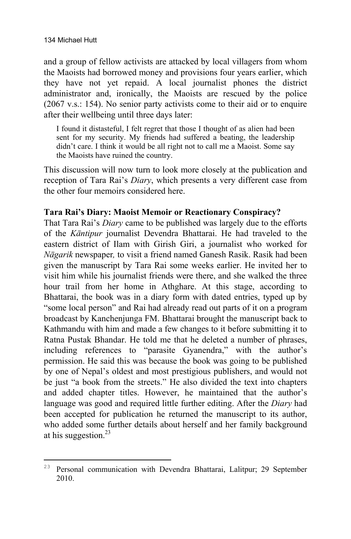and a group of fellow activists are attacked by local villagers from whom the Maoists had borrowed money and provisions four years earlier, which they have not yet repaid. A local journalist phones the district administrator and, ironically, the Maoists are rescued by the police (2067 v.s.: 154). No senior party activists come to their aid or to enquire after their wellbeing until three days later:

I found it distasteful, I felt regret that those I thought of as alien had been sent for my security. My friends had suffered a beating, the leadership didn't care. I think it would be all right not to call me a Maoist. Some say the Maoists have ruined the country.

This discussion will now turn to look more closely at the publication and reception of Tara Rai's *Diary*, which presents a very different case from the other four memoirs considered here.

## **Tara Rai's Diary: Maoist Memoir or Reactionary Conspiracy?**

That Tara Rai's *Diary* came to be published was largely due to the efforts of the *Kàntipur* journalist Devendra Bhattarai. He had traveled to the eastern district of Ilam with Girish Giri, a journalist who worked for *Nàgarik* newspaper*,* to visit a friend named Ganesh Rasik. Rasik had been given the manuscript by Tara Rai some weeks earlier. He invited her to visit him while his journalist friends were there, and she walked the three hour trail from her home in Athghare. At this stage, according to Bhattarai, the book was in a diary form with dated entries, typed up by "some local person" and Rai had already read out parts of it on a program broadcast by Kanchenjunga FM. Bhattarai brought the manuscript back to Kathmandu with him and made a few changes to it before submitting it to Ratna Pustak Bhandar. He told me that he deleted a number of phrases, including references to "parasite Gyanendra," with the author's permission. He said this was because the book was going to be published by one of Nepal's oldest and most prestigious publishers, and would not be just "a book from the streets." He also divided the text into chapters and added chapter titles. However, he maintained that the author's language was good and required little further editing. After the *Diary* had been accepted for publication he returned the manuscript to its author, who added some further details about herself and her family background at his suggestion.<sup>23</sup>

 $\overline{a}$ <sup>23</sup> Personal communication with Devendra Bhattarai, Lalitpur; 29 September 2010.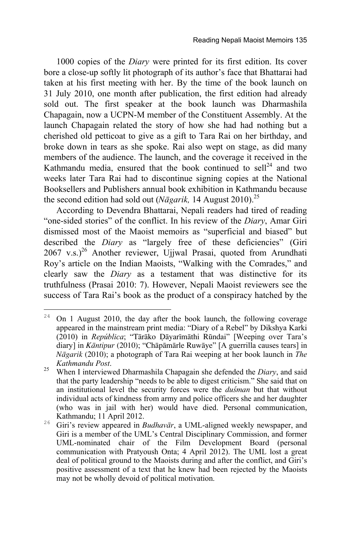1000 copies of the *Diary* were printed for its first edition. Its cover bore a close-up softly lit photograph of its author's face that Bhattarai had taken at his first meeting with her. By the time of the book launch on 31 July 2010, one month after publication, the first edition had already sold out. The first speaker at the book launch was Dharmashila Chapagain, now a UCPN-M member of the Constituent Assembly. At the launch Chapagain related the story of how she had had nothing but a cherished old petticoat to give as a gift to Tara Rai on her birthday, and broke down in tears as she spoke. Rai also wept on stage, as did many members of the audience. The launch, and the coverage it received in the Kathmandu media, ensured that the book continued to sell<sup>24</sup> and two weeks later Tara Rai had to discontinue signing copies at the National Booksellers and Publishers annual book exhibition in Kathmandu because the second edition had sold out (*Nāgarik*, 14 August 2010).<sup>25</sup>

According to Devendra Bhattarai, Nepali readers had tired of reading "one-sided stories" of the conflict. In his review of the *Diary*, Amar Giri dismissed most of the Maoist memoirs as "superficial and biased" but described the *Diary* as "largely free of these deficiencies" (Giri  $2067$  v.s.)<sup>26</sup> Another reviewer, Ujjwal Prasai, quoted from Arundhati Roy's article on the Indian Maoists, "Walking with the Comrades," and clearly saw the *Diary* as a testament that was distinctive for its truthfulness (Prasai 2010: 7). However, Nepali Maoist reviewers see the success of Tara Rai's book as the product of a conspiracy hatched by the

<sup>24</sup> <sup>24</sup> On 1 August 2010, the day after the book launch, the following coverage appeared in the mainstream print media: "Diary of a Rebel" by Dikshya Karki (2010) in *República*; "Tārāko Dāyarīmāthi Rūndai" [Weeping over Tara's diary] in *Kàntipur* (2010); "Chàpàmàrle Ruwàye" [A guerrilla causes tears] in *Nàgarik* (2010); a photograph of Tara Rai weeping at her book launch in *The* 

*Kathmandu Post*. 25 When I interviewed Dharmashila Chapagain she defended the *Diary*, and said that the party leadership "needs to be able to digest criticism." She said that on an institutional level the security forces were the *du*sman but that without individual acts of kindness from army and police officers she and her daughter (who was in jail with her) would have died. Personal communication,

<sup>&</sup>lt;sup>26</sup> Giri's review appeared in *Budhavār*, a UML-aligned weekly newspaper, and Giri is a member of the UML's Central Disciplinary Commission, and former UML-nominated chair of the Film Development Board (personal communication with Pratyoush Onta; 4 April 2012). The UML lost a great deal of political ground to the Maoists during and after the conflict, and Giri's positive assessment of a text that he knew had been rejected by the Maoists may not be wholly devoid of political motivation.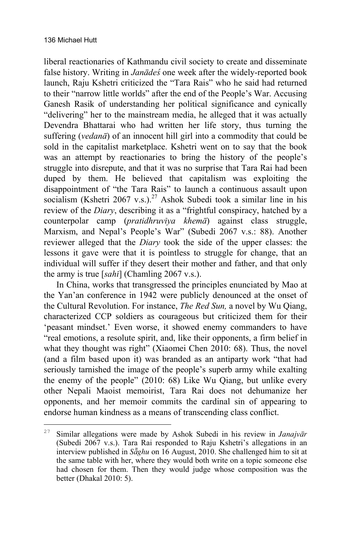liberal reactionaries of Kathmandu civil society to create and disseminate false history. Writing in *Janàde÷* one week after the widely-reported book launch, Raju Kshetri criticized the "Tara Rais" who he said had returned to their "narrow little worlds" after the end of the People's War. Accusing Ganesh Rasik of understanding her political significance and cynically "delivering" her to the mainstream media, he alleged that it was actually Devendra Bhattarai who had written her life story, thus turning the suffering (*vedanà*) of an innocent hill girl into a commodity that could be sold in the capitalist marketplace. Kshetri went on to say that the book was an attempt by reactionaries to bring the history of the people's struggle into disrepute, and that it was no surprise that Tara Rai had been duped by them. He believed that capitalism was exploiting the disappointment of "the Tara Rais" to launch a continuous assault upon socialism (Kshetri 2067 v.s.).<sup>27</sup> Ashok Subedi took a similar line in his review of the *Diary*, describing it as a "frightful conspiracy, hatched by a counterpolar camp (*pratidhruvãya khemà*) against class struggle, Marxism, and Nepal's People's War" (Subedi 2067 v.s.: 88). Another reviewer alleged that the *Diary* took the side of the upper classes: the lessons it gave were that it is pointless to struggle for change, that an individual will suffer if they desert their mother and father, and that only the army is true [*sahã*] (Chamling 2067 v.s.).

In China, works that transgressed the principles enunciated by Mao at the Yan'an conference in 1942 were publicly denounced at the onset of the Cultural Revolution. For instance, *The Red Sun,* a novel by Wu Qiang, characterized CCP soldiers as courageous but criticized them for their 'peasant mindset.' Even worse, it showed enemy commanders to have "real emotions, a resolute spirit, and, like their opponents, a firm belief in what they thought was right" (Xiaomei Chen 2010: 68). Thus, the novel (and a film based upon it) was branded as an antiparty work "that had seriously tarnished the image of the people's superb army while exalting the enemy of the people" (2010: 68) Like Wu Qiang, but unlike every other Nepali Maoist memoirist, Tara Rai does not dehumanize her opponents, and her memoir commits the cardinal sin of appearing to endorse human kindness as a means of transcending class conflict.

<sup>27</sup> <sup>27</sup> Similar allegations were made by Ashok Subedi in his review in *Janajvàr* (Subedi 2067 v.s.). Tara Rai responded to Raju Kshetri's allegations in an interview published in *Sƒghu* on 16 August, 2010. She challenged him to sit at the same table with her, where they would both write on a topic someone else had chosen for them. Then they would judge whose composition was the better (Dhakal 2010: 5).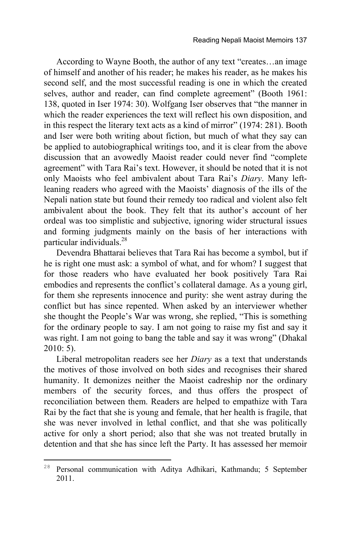According to Wayne Booth, the author of any text "creates…an image of himself and another of his reader; he makes his reader, as he makes his second self, and the most successful reading is one in which the created selves, author and reader, can find complete agreement" (Booth 1961: 138, quoted in Iser 1974: 30). Wolfgang Iser observes that "the manner in which the reader experiences the text will reflect his own disposition, and in this respect the literary text acts as a kind of mirror" (1974: 281). Booth and Iser were both writing about fiction, but much of what they say can be applied to autobiographical writings too, and it is clear from the above discussion that an avowedly Maoist reader could never find "complete agreement" with Tara Rai's text. However, it should be noted that it is not only Maoists who feel ambivalent about Tara Rai's *Diary*. Many leftleaning readers who agreed with the Maoists' diagnosis of the ills of the Nepali nation state but found their remedy too radical and violent also felt ambivalent about the book. They felt that its author's account of her ordeal was too simplistic and subjective, ignoring wider structural issues and forming judgments mainly on the basis of her interactions with particular individuals.28

Devendra Bhattarai believes that Tara Rai has become a symbol, but if he is right one must ask: a symbol of what, and for whom? I suggest that for those readers who have evaluated her book positively Tara Rai embodies and represents the conflict's collateral damage. As a young girl, for them she represents innocence and purity: she went astray during the conflict but has since repented. When asked by an interviewer whether she thought the People's War was wrong, she replied, "This is something for the ordinary people to say. I am not going to raise my fist and say it was right. I am not going to bang the table and say it was wrong" (Dhakal 2010: 5).

Liberal metropolitan readers see her *Diary* as a text that understands the motives of those involved on both sides and recognises their shared humanity. It demonizes neither the Maoist cadreship nor the ordinary members of the security forces, and thus offers the prospect of reconciliation between them. Readers are helped to empathize with Tara Rai by the fact that she is young and female, that her health is fragile, that she was never involved in lethal conflict, and that she was politically active for only a short period; also that she was not treated brutally in detention and that she has since left the Party. It has assessed her memoir

 $\overline{a}$ 

<sup>&</sup>lt;sup>28</sup> Personal communication with Aditya Adhikari, Kathmandu; 5 September 2011.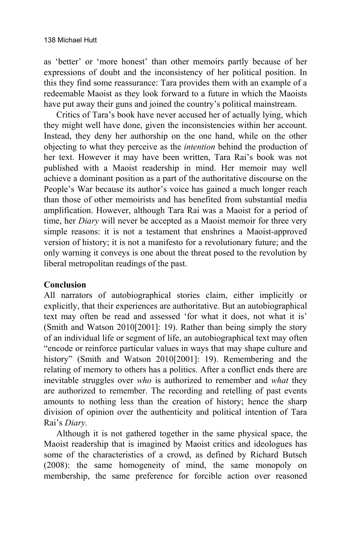as 'better' or 'more honest' than other memoirs partly because of her expressions of doubt and the inconsistency of her political position. In this they find some reassurance: Tara provides them with an example of a redeemable Maoist as they look forward to a future in which the Maoists have put away their guns and joined the country's political mainstream.

Critics of Tara's book have never accused her of actually lying, which they might well have done, given the inconsistencies within her account. Instead, they deny her authorship on the one hand, while on the other objecting to what they perceive as the *intention* behind the production of her text. However it may have been written, Tara Rai's book was not published with a Maoist readership in mind. Her memoir may well achieve a dominant position as a part of the authoritative discourse on the People's War because its author's voice has gained a much longer reach than those of other memoirists and has benefited from substantial media amplification. However, although Tara Rai was a Maoist for a period of time, her *Diary* will never be accepted as a Maoist memoir for three very simple reasons: it is not a testament that enshrines a Maoist-approved version of history; it is not a manifesto for a revolutionary future; and the only warning it conveys is one about the threat posed to the revolution by liberal metropolitan readings of the past.

# **Conclusion**

All narrators of autobiographical stories claim, either implicitly or explicitly, that their experiences are authoritative. But an autobiographical text may often be read and assessed 'for what it does, not what it is' (Smith and Watson 2010[2001]: 19). Rather than being simply the story of an individual life or segment of life, an autobiographical text may often "encode or reinforce particular values in ways that may shape culture and history" (Smith and Watson 2010[2001]: 19). Remembering and the relating of memory to others has a politics. After a conflict ends there are inevitable struggles over *who* is authorized to remember and *what* they are authorized to remember. The recording and retelling of past events amounts to nothing less than the creation of history; hence the sharp division of opinion over the authenticity and political intention of Tara Rai's *Diary.*

Although it is not gathered together in the same physical space, the Maoist readership that is imagined by Maoist critics and ideologues has some of the characteristics of a crowd, as defined by Richard Butsch (2008): the same homogeneity of mind, the same monopoly on membership, the same preference for forcible action over reasoned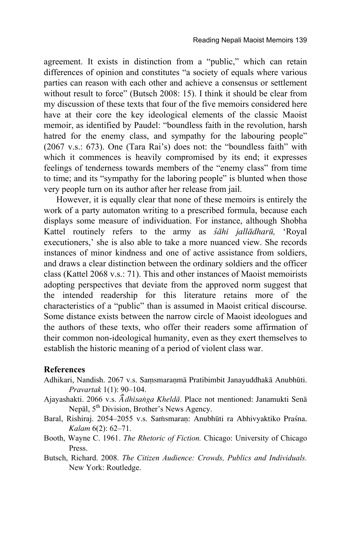agreement. It exists in distinction from a "public," which can retain differences of opinion and constitutes "a society of equals where various parties can reason with each other and achieve a consensus or settlement without result to force" (Butsch 2008: 15). I think it should be clear from my discussion of these texts that four of the five memoirs considered here have at their core the key ideological elements of the classic Maoist memoir, as identified by Paudel: "boundless faith in the revolution, harsh hatred for the enemy class, and sympathy for the labouring people" (2067 v.s.: 673). One (Tara Rai's) does not: the "boundless faith" with which it commences is heavily compromised by its end; it expresses feelings of tenderness towards members of the "enemy class" from time to time; and its "sympathy for the laboring people" is blunted when those very people turn on its author after her release from jail.

However, it is equally clear that none of these memoirs is entirely the work of a party automaton writing to a prescribed formula, because each displays some measure of individuation. For instance, although Shobha Kattel routinely refers to the army as *÷àhã jallàdharå,* 'Royal executioners,' she is also able to take a more nuanced view. She records instances of minor kindness and one of active assistance from soldiers, and draws a clear distinction between the ordinary soldiers and the officer class (Kattel 2068 v.s.: 71). This and other instances of Maoist memoirists adopting perspectives that deviate from the approved norm suggest that the intended readership for this literature retains more of the characteristics of a "public" than is assumed in Maoist critical discourse. Some distance exists between the narrow circle of Maoist ideologues and the authors of these texts, who offer their readers some affirmation of their common non-ideological humanity, even as they exert themselves to establish the historic meaning of a period of violent class war.

#### **References**

- Adhikari, Nandish. 2067 v.s. Samsmaranmā Pratibimbit Janayuddhakā Anubhūti. *Pravartak* 1(1): 90–104.
- Ajayashakti. 2066 v.s. *â˜ dhãsaïga Kheldà.* Place not mentioned: Janamukti Senà Nepàl, 5th Division, Brother's News Agency.
- Baral, Rishiraj. 2054–2055 v.s. Samsmaran: Anubhūti ra Abhivyaktiko Praśna. *Kalam* 6(2): 62–71.
- Booth, Wayne C. 1961. *The Rhetoric of Fiction.* Chicago: University of Chicago Press.
- Butsch, Richard. 2008. *The Citizen Audience: Crowds, Publics and Individuals.*  New York: Routledge.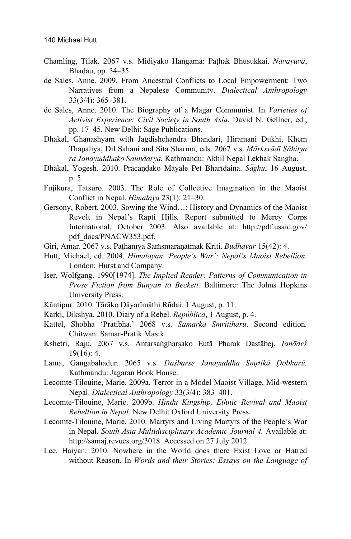- Chamling, Tilak. 2067 v.s. Midiyàko Haïgàmà: Pàñhak Bhusukkai. *Navayuvà*, Bhadau, pp. 34–35.
- de Sales, Anne. 2009. From Ancestral Conflicts to Local Empowerment: Two Narratives from a Nepalese Community. *Dialectical Anthropology* 33(3/4): 365–381.
- de Sales, Anne. 2010. The Biography of a Magar Communist. In *Varieties of Activist Experience: Civil Society in South Asia*. David N. Gellner, ed., pp. 17–45. New Delhi: Sage Publications.
- Dhakal, Ghanashyam with Jagdishchandra Bhandari, Hiramani Dukhi, Khem Thapaliya, Dil Sahani and Sita Sharma, eds. 2067 v.s. *Màrksvàdã Sàhitya ra Janayuddhako Saundarya.* Kathmandu: Akhil Nepal Lekhak Sangha.
- Dhakal, Yogesh. 2010. Pracandako Māyāle Pet Bharīdaina. *Sāghu*, 16 August, p. 5.
- Fujikura, Tatsuro. 2003. The Role of Collective Imagination in the Maoist Conflict in Nepal. *Himalaya* 23(1): 21–30.
- Gersony, Robert. 2003. Sowing the Wind…: History and Dynamics of the Maoist Revolt in Nepal's Rapti Hills*.* Report submitted to Mercy Corps International, October 2003. Also available at: http://pdf.usaid.gov/ pdf\_docs/PNACW353.pdf.
- Giri, Amar. 2067 v.s. Pathanīya Samsmaraņātmak Kriti. *Budhavār* 15(42): 4.
- Hutt, Michael, ed. 2004. *Himalayan 'People's War': Nepal's Maoist Rebellion.*  London: Hurst and Company.
- Iser, Wolfgang. 1990[1974]. *The Implied Reader: Patterns of Communication in Prose Fiction from Bunyan to Beckett.* Baltimore: The Johns Hopkins University Press.
- Kāntipur. 2010. Tārāko Dāyarīmāthi Rūdai. 1 August, p. 11.
- Karki, Dikshya. 2010. Diary of a Rebel. *República*, 1 August, p. 4.
- Kattel, Shobha 'Pratibha.' 2068 v.s. *Samarkà Smritiharå*. Second edition*.*  Chitwan: Samar-Pratik Masik.
- Kshetri, Raju. 2067 v.s. Antarsangharṣako Eutā Pharak Dastābej. Janādeś 19(16): 4.
- Lama, Gangabahadur. 2065 v.s. *Daśbarse Janayuddha Smrtikā Dobharū*. Kathmandu: Jagaran Book House.
- Lecomte-Tilouine, Marie. 2009a. Terror in a Model Maoist Village, Mid-western Nepal. *Dialectical Anthropology* 33(3/4): 383–401.
- Lecomte-Tilouine, Marie. 2009b. *Hindu Kingship, Ethnic Revival and Maoist Rebellion in Nepal.* New Delhi: Oxford University Press.
- Lecomte-Tilouine, Marie. 2010. Martyrs and Living Martyrs of the People's War in Nepal. *South Asia Multidisciplinary Academic Journal 4.* Available at: http://samaj.revues.org/3018. Accessed on 27 July 2012.
- Lee. Haiyan. 2010. Nowhere in the World does there Exist Love or Hatred without Reason. In *Words and their Stories: Essays on the Language of*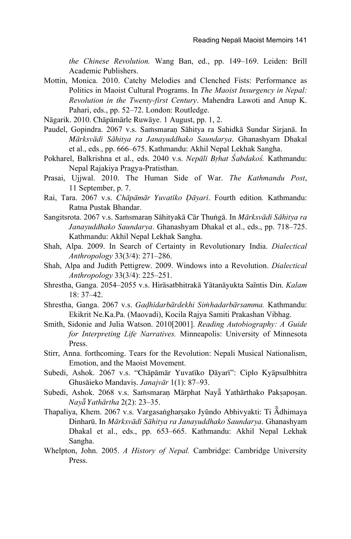*the Chinese Revolution.* Wang Ban, ed., pp. 149–169. Leiden: Brill Academic Publishers.

- Mottin, Monica. 2010. Catchy Melodies and Clenched Fists: Performance as Politics in Maoist Cultural Programs. In *The Maoist Insurgency in Nepal: Revolution in the Twenty-first Century*. Mahendra Lawoti and Anup K. Pahari, eds., pp. 52–72. London: Routledge.
- Nàgarik. 2010. Chàpàmàrle Ruwàye. 1 August, pp. 1, 2.
- Paudel, Gopindra. 2067 v.s. Saṁsmaran Sāhitya ra Sahidkā Sundar Sirjanā. In *Màrksvàdã Sàhitya ra Janayuddhako Saundarya*. Ghanashyam Dhakal et al., eds., pp. 666–675. Kathmandu: Akhil Nepal Lekhak Sangha.
- Pokharel, Balkrishna et al., eds. 2040 v.s. *Nepālī Brhat Śabdakoś*. Kathmandu: Nepal Rajakiya Pragya-Pratisthan.
- Prasai, Ujjwal. 2010. The Human Side of War. *The Kathmandu Post*, 11 September, p. 7.
- Rai, Tara. 2067 v.s. *Chāpāmār Yuvatīko Dāyarī*. Fourth edition. Kathmandu: Ratna Pustak Bhandar.
- Sangitsrota. 2067 v.s. Samsmaraņ Sāhityakā Cār Thungā. In *Mārksvādī Sāhitya ra Janayuddhako Saundarya*. Ghanashyam Dhakal et al., eds., pp. 718–725. Kathmandu: Akhil Nepal Lekhak Sangha.
- Shah, Alpa. 2009. In Search of Certainty in Revolutionary India. *Dialectical Anthropology* 33(3/4): 271–286.
- Shah, Alpa and Judith Pettigrew. 2009. Windows into a Revolution. *Dialectical Anthropology* 33(3/4): 225–251.
- Shrestha, Ganga. 2054–2055 v.s. Hirāsatbhitrakā Yātanāyukta Saĩntis Din. *Kalam* 18: 37–42.
- Shrestha, Ganga. 2067 v.s. *Gadhīdarbārdekhi Simhadarbārsamma*. Kathmandu: Ekikrit Ne.Ka.Pa. (Maovadi), Kocila Rajya Samiti Prakashan Vibhag.
- Smith, Sidonie and Julia Watson. 2010[2001]. *Reading Autobiography: A Guide for Interpreting Life Narratives.* Minneapolis: University of Minnesota Press.
- Stirr, Anna. forthcoming. Tears for the Revolution: Nepali Musical Nationalism, Emotion, and the Maoist Movement.
- Subedi, Ashok. 2067 v.s. "Chāpāmār Yuvatīko Dāyarī": Ciplo Kyāpsulbhitra Ghusàieko Mandaviù. *Janajvàr* 1(1): 87–93.
- Subedi, Ashok. 2068 v.s. Samsmaran Mārphat Nayā Yathārthako Paksaposan. *Nayƒ Yathàrtha* 2(2): 23–35.
- Thapaliya, Khem. 2067 v.s. Vargasangharsako Jyūndo Abhivyakti: Ti Ādhimaya Dinharå. In *Màrksvàdã Sàhitya ra Janayuddhako Saundarya*. Ghanashyam Dhakal et al., eds., pp. 653–665. Kathmandu: Akhil Nepal Lekhak Sangha.
- Whelpton, John. 2005. *A History of Nepal.* Cambridge: Cambridge University Press.